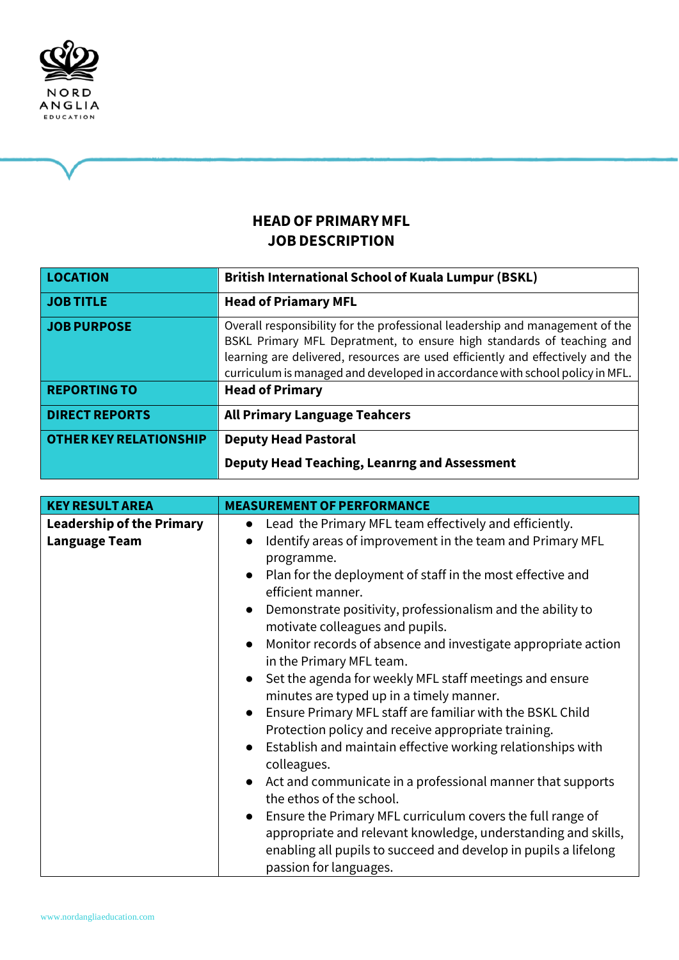

# **HEADOF PRIMARYMFL JOBDESCRIPTION**

| LOCATION                      | <b>British International School of Kuala Lumpur (BSKL)</b>                                                                                                                                                                                                                                                              |
|-------------------------------|-------------------------------------------------------------------------------------------------------------------------------------------------------------------------------------------------------------------------------------------------------------------------------------------------------------------------|
| JOB TITLE                     | <b>Head of Priamary MFL</b>                                                                                                                                                                                                                                                                                             |
| JOB PURPOSE                   | Overall responsibility for the professional leadership and management of the<br>BSKL Primary MFL Depratment, to ensure high standards of teaching and<br>learning are delivered, resources are used efficiently and effectively and the<br>curriculum is managed and developed in accordance with school policy in MFL. |
| <b>REPORTING TO</b>           | <b>Head of Primary</b>                                                                                                                                                                                                                                                                                                  |
| <b>DIRECT REPORTS</b>         | <b>All Primary Language Teahcers</b>                                                                                                                                                                                                                                                                                    |
| <b>OTHER KEY RELATIONSHIP</b> | <b>Deputy Head Pastoral</b>                                                                                                                                                                                                                                                                                             |
|                               | <b>Deputy Head Teaching, Leanrng and Assessment</b>                                                                                                                                                                                                                                                                     |

| <b>KEY RESULT AREA</b>           | <b>MEASUREMENT OF PERFORMANCE</b>                                                                                |
|----------------------------------|------------------------------------------------------------------------------------------------------------------|
| <b>Leadership of the Primary</b> | Lead the Primary MFL team effectively and efficiently.<br>$\bullet$                                              |
| <b>Language Team</b>             | Identify areas of improvement in the team and Primary MFL<br>$\bullet$                                           |
|                                  | programme.                                                                                                       |
|                                  | Plan for the deployment of staff in the most effective and<br>efficient manner.                                  |
|                                  | Demonstrate positivity, professionalism and the ability to<br>motivate colleagues and pupils.                    |
|                                  | Monitor records of absence and investigate appropriate action<br>$\bullet$<br>in the Primary MFL team.           |
|                                  | Set the agenda for weekly MFL staff meetings and ensure<br>$\bullet$<br>minutes are typed up in a timely manner. |
|                                  | Ensure Primary MFL staff are familiar with the BSKL Child<br>$\bullet$                                           |
|                                  | Protection policy and receive appropriate training.                                                              |
|                                  | Establish and maintain effective working relationships with<br>colleagues.                                       |
|                                  | Act and communicate in a professional manner that supports<br>the ethos of the school.                           |
|                                  | Ensure the Primary MFL curriculum covers the full range of<br>$\bullet$                                          |
|                                  | appropriate and relevant knowledge, understanding and skills,                                                    |
|                                  | enabling all pupils to succeed and develop in pupils a lifelong                                                  |
|                                  | passion for languages.                                                                                           |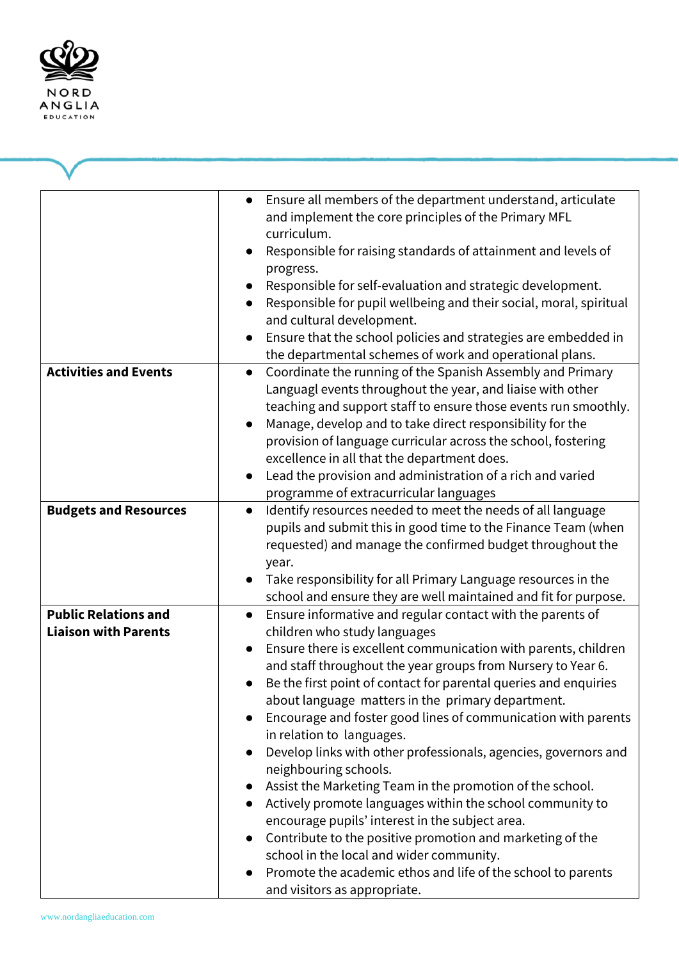

|                                                            | Ensure all members of the department understand, articulate<br>$\bullet$<br>and implement the core principles of the Primary MFL<br>curriculum.<br>Responsible for raising standards of attainment and levels of<br>progress.<br>Responsible for self-evaluation and strategic development.<br>Responsible for pupil wellbeing and their social, moral, spiritual<br>and cultural development.<br>Ensure that the school policies and strategies are embedded in<br>the departmental schemes of work and operational plans.                                                                                                                                                                                                                                                                                                                                                                                                           |
|------------------------------------------------------------|---------------------------------------------------------------------------------------------------------------------------------------------------------------------------------------------------------------------------------------------------------------------------------------------------------------------------------------------------------------------------------------------------------------------------------------------------------------------------------------------------------------------------------------------------------------------------------------------------------------------------------------------------------------------------------------------------------------------------------------------------------------------------------------------------------------------------------------------------------------------------------------------------------------------------------------|
| <b>Activities and Events</b>                               | Coordinate the running of the Spanish Assembly and Primary<br>$\bullet$<br>Languagl events throughout the year, and liaise with other<br>teaching and support staff to ensure those events run smoothly.<br>Manage, develop and to take direct responsibility for the<br>$\bullet$<br>provision of language curricular across the school, fostering<br>excellence in all that the department does.<br>Lead the provision and administration of a rich and varied<br>programme of extracurricular languages                                                                                                                                                                                                                                                                                                                                                                                                                            |
| <b>Budgets and Resources</b>                               | Identify resources needed to meet the needs of all language<br>$\bullet$<br>pupils and submit this in good time to the Finance Team (when<br>requested) and manage the confirmed budget throughout the<br>year.<br>Take responsibility for all Primary Language resources in the<br>school and ensure they are well maintained and fit for purpose.                                                                                                                                                                                                                                                                                                                                                                                                                                                                                                                                                                                   |
| <b>Public Relations and</b><br><b>Liaison with Parents</b> | Ensure informative and regular contact with the parents of<br>children who study languages<br>Ensure there is excellent communication with parents, children<br>and staff throughout the year groups from Nursery to Year 6.<br>Be the first point of contact for parental queries and enquiries<br>about language matters in the primary department.<br>Encourage and foster good lines of communication with parents<br>in relation to languages.<br>Develop links with other professionals, agencies, governors and<br>neighbouring schools.<br>Assist the Marketing Team in the promotion of the school.<br>Actively promote languages within the school community to<br>encourage pupils' interest in the subject area.<br>Contribute to the positive promotion and marketing of the<br>school in the local and wider community.<br>Promote the academic ethos and life of the school to parents<br>and visitors as appropriate. |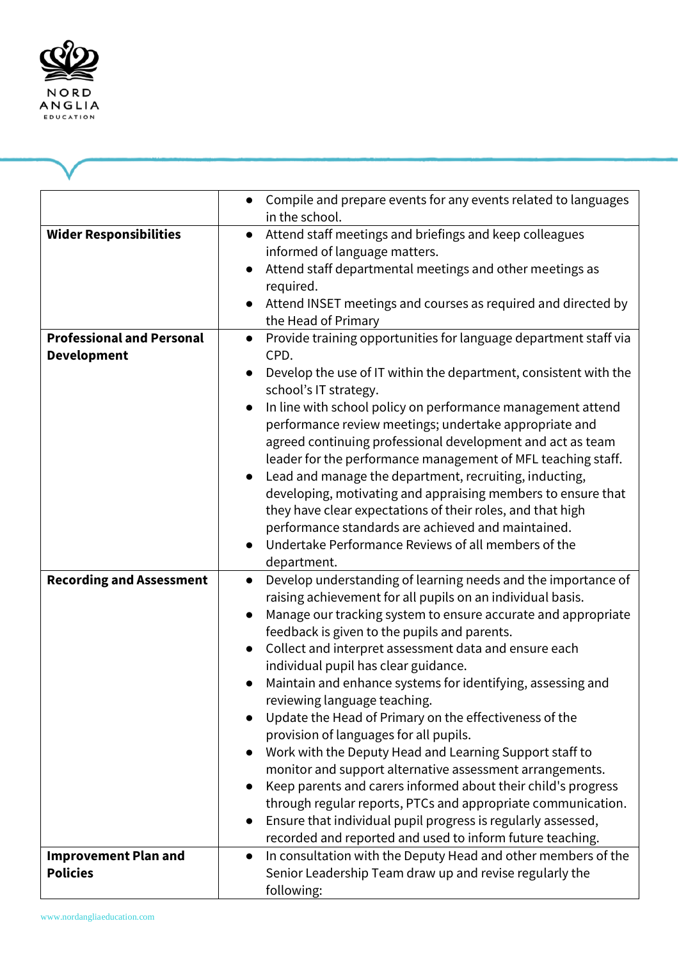

|                                                        | Compile and prepare events for any events related to languages<br>$\bullet$<br>in the school.                                                                                                                                                                                                                                                                                                                                                                                                                                                                                                                                                                                                                                                                                                                                                                                                                                                      |
|--------------------------------------------------------|----------------------------------------------------------------------------------------------------------------------------------------------------------------------------------------------------------------------------------------------------------------------------------------------------------------------------------------------------------------------------------------------------------------------------------------------------------------------------------------------------------------------------------------------------------------------------------------------------------------------------------------------------------------------------------------------------------------------------------------------------------------------------------------------------------------------------------------------------------------------------------------------------------------------------------------------------|
| <b>Wider Responsibilities</b>                          | Attend staff meetings and briefings and keep colleagues<br>informed of language matters.<br>Attend staff departmental meetings and other meetings as<br>required.<br>Attend INSET meetings and courses as required and directed by<br>the Head of Primary                                                                                                                                                                                                                                                                                                                                                                                                                                                                                                                                                                                                                                                                                          |
| <b>Professional and Personal</b><br><b>Development</b> | Provide training opportunities for language department staff via<br>$\bullet$<br>CPD.<br>Develop the use of IT within the department, consistent with the<br>school's IT strategy.<br>In line with school policy on performance management attend<br>performance review meetings; undertake appropriate and<br>agreed continuing professional development and act as team<br>leader for the performance management of MFL teaching staff.<br>Lead and manage the department, recruiting, inducting,<br>developing, motivating and appraising members to ensure that<br>they have clear expectations of their roles, and that high<br>performance standards are achieved and maintained.<br>Undertake Performance Reviews of all members of the<br>department.                                                                                                                                                                                      |
| <b>Recording and Assessment</b>                        | Develop understanding of learning needs and the importance of<br>$\bullet$<br>raising achievement for all pupils on an individual basis.<br>Manage our tracking system to ensure accurate and appropriate<br>feedback is given to the pupils and parents.<br>Collect and interpret assessment data and ensure each<br>individual pupil has clear guidance.<br>Maintain and enhance systems for identifying, assessing and<br>reviewing language teaching.<br>Update the Head of Primary on the effectiveness of the<br>provision of languages for all pupils.<br>Work with the Deputy Head and Learning Support staff to<br>monitor and support alternative assessment arrangements.<br>Keep parents and carers informed about their child's progress<br>through regular reports, PTCs and appropriate communication.<br>Ensure that individual pupil progress is regularly assessed,<br>recorded and reported and used to inform future teaching. |
| <b>Improvement Plan and</b><br><b>Policies</b>         | In consultation with the Deputy Head and other members of the<br>$\bullet$<br>Senior Leadership Team draw up and revise regularly the<br>following:                                                                                                                                                                                                                                                                                                                                                                                                                                                                                                                                                                                                                                                                                                                                                                                                |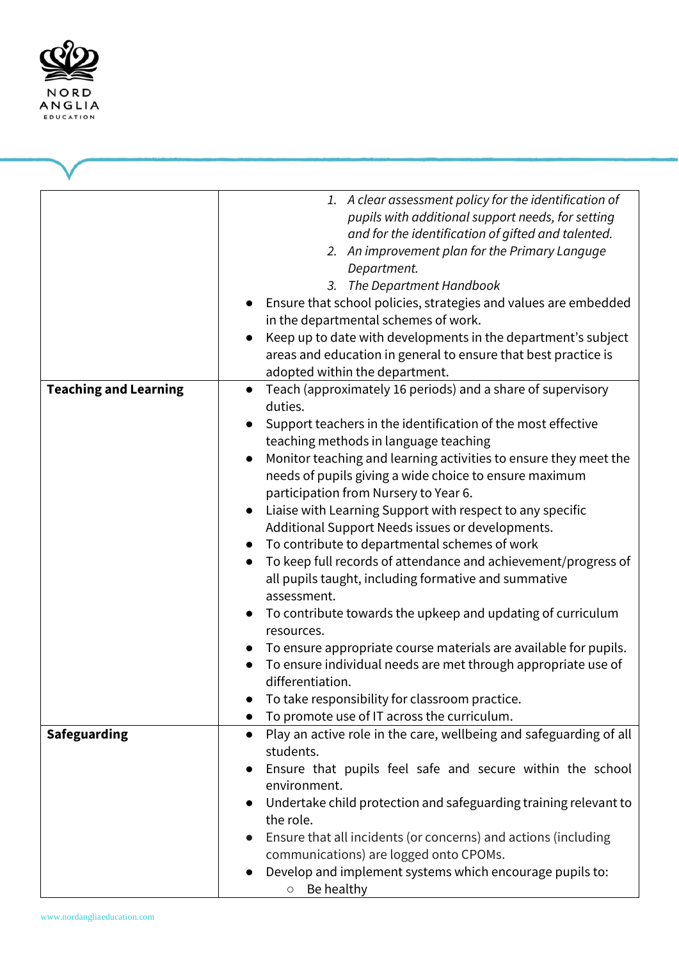

|                              | 1. A clear assessment policy for the identification of<br>pupils with additional support needs, for setting<br>and for the identification of gifted and talented.<br>2. An improvement plan for the Primary Languge<br>Department.<br>3. The Department Handbook<br>Ensure that school policies, strategies and values are embedded<br>in the departmental schemes of work.<br>Keep up to date with developments in the department's subject<br>areas and education in general to ensure that best practice is<br>adopted within the department.                                                                                                                                                                                                                                                                                                                                                                                                                                                                                                |
|------------------------------|-------------------------------------------------------------------------------------------------------------------------------------------------------------------------------------------------------------------------------------------------------------------------------------------------------------------------------------------------------------------------------------------------------------------------------------------------------------------------------------------------------------------------------------------------------------------------------------------------------------------------------------------------------------------------------------------------------------------------------------------------------------------------------------------------------------------------------------------------------------------------------------------------------------------------------------------------------------------------------------------------------------------------------------------------|
| <b>Teaching and Learning</b> | Teach (approximately 16 periods) and a share of supervisory<br>duties.<br>Support teachers in the identification of the most effective<br>teaching methods in language teaching<br>Monitor teaching and learning activities to ensure they meet the<br>needs of pupils giving a wide choice to ensure maximum<br>participation from Nursery to Year 6.<br>Liaise with Learning Support with respect to any specific<br>$\bullet$<br>Additional Support Needs issues or developments.<br>To contribute to departmental schemes of work<br>$\bullet$<br>To keep full records of attendance and achievement/progress of<br>$\bullet$<br>all pupils taught, including formative and summative<br>assessment.<br>To contribute towards the upkeep and updating of curriculum<br>resources.<br>To ensure appropriate course materials are available for pupils.<br>To ensure individual needs are met through appropriate use of<br>differentiation.<br>To take responsibility for classroom practice.<br>To promote use of IT across the curriculum. |
| <b>Safeguarding</b>          | Play an active role in the care, wellbeing and safeguarding of all<br>$\bullet$<br>students.<br>Ensure that pupils feel safe and secure within the school<br>environment.<br>Undertake child protection and safeguarding training relevant to<br>the role.<br>Ensure that all incidents (or concerns) and actions (including<br>communications) are logged onto CPOMs.<br>Develop and implement systems which encourage pupils to:<br>$\circ$ Be healthy                                                                                                                                                                                                                                                                                                                                                                                                                                                                                                                                                                                        |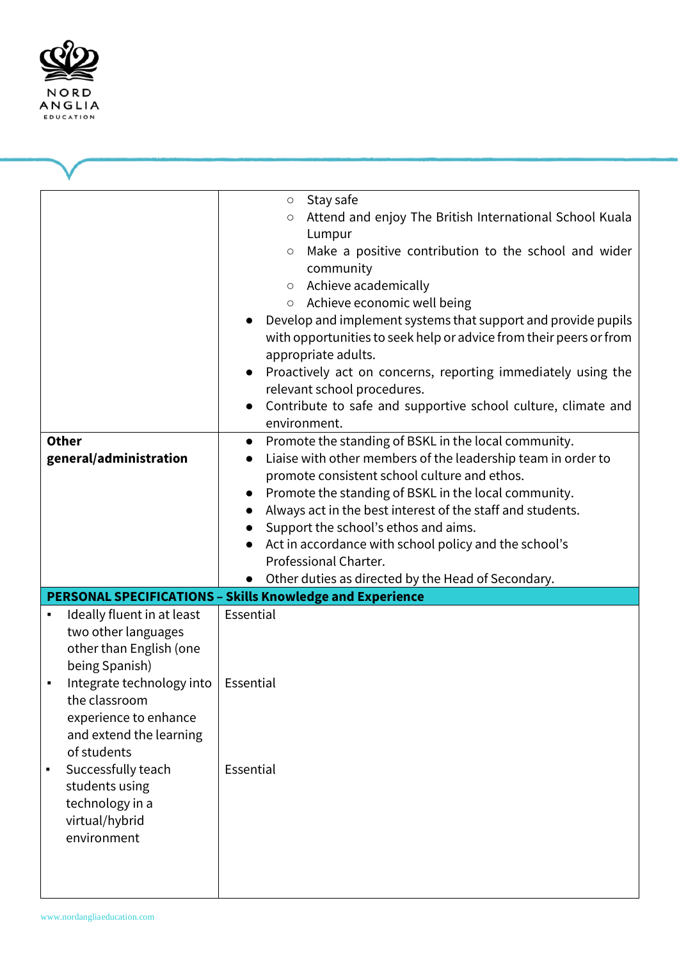

| <b>Other</b><br>general/administration                                                                                                                                                                                                                                                                                       | Stay safe<br>$\bigcirc$<br>Attend and enjoy The British International School Kuala<br>О<br>Lumpur<br>Make a positive contribution to the school and wider<br>$\circ$<br>community<br>Achieve academically<br>$\bigcirc$<br>○ Achieve economic well being<br>Develop and implement systems that support and provide pupils<br>with opportunities to seek help or advice from their peers or from<br>appropriate adults.<br>Proactively act on concerns, reporting immediately using the<br>relevant school procedures.<br>Contribute to safe and supportive school culture, climate and<br>environment.<br>Promote the standing of BSKL in the local community.<br>$\bullet$<br>Liaise with other members of the leadership team in order to<br>$\bullet$<br>promote consistent school culture and ethos.<br>Promote the standing of BSKL in the local community.<br>Always act in the best interest of the staff and students.<br>Support the school's ethos and aims.<br>Act in accordance with school policy and the school's<br>Professional Charter.<br>Other duties as directed by the Head of Secondary. |
|------------------------------------------------------------------------------------------------------------------------------------------------------------------------------------------------------------------------------------------------------------------------------------------------------------------------------|----------------------------------------------------------------------------------------------------------------------------------------------------------------------------------------------------------------------------------------------------------------------------------------------------------------------------------------------------------------------------------------------------------------------------------------------------------------------------------------------------------------------------------------------------------------------------------------------------------------------------------------------------------------------------------------------------------------------------------------------------------------------------------------------------------------------------------------------------------------------------------------------------------------------------------------------------------------------------------------------------------------------------------------------------------------------------------------------------------------|
|                                                                                                                                                                                                                                                                                                                              | <b>PERSONAL SPECIFICATIONS - Skills Knowledge and Experience</b>                                                                                                                                                                                                                                                                                                                                                                                                                                                                                                                                                                                                                                                                                                                                                                                                                                                                                                                                                                                                                                               |
| Ideally fluent in at least<br>٠<br>two other languages<br>other than English (one<br>being Spanish)<br>Integrate technology into   Essential<br>the classroom<br>experience to enhance<br>and extend the learning<br>of students<br>Successfully teach<br>students using<br>technology in a<br>virtual/hybrid<br>environment | Essential<br>Essential                                                                                                                                                                                                                                                                                                                                                                                                                                                                                                                                                                                                                                                                                                                                                                                                                                                                                                                                                                                                                                                                                         |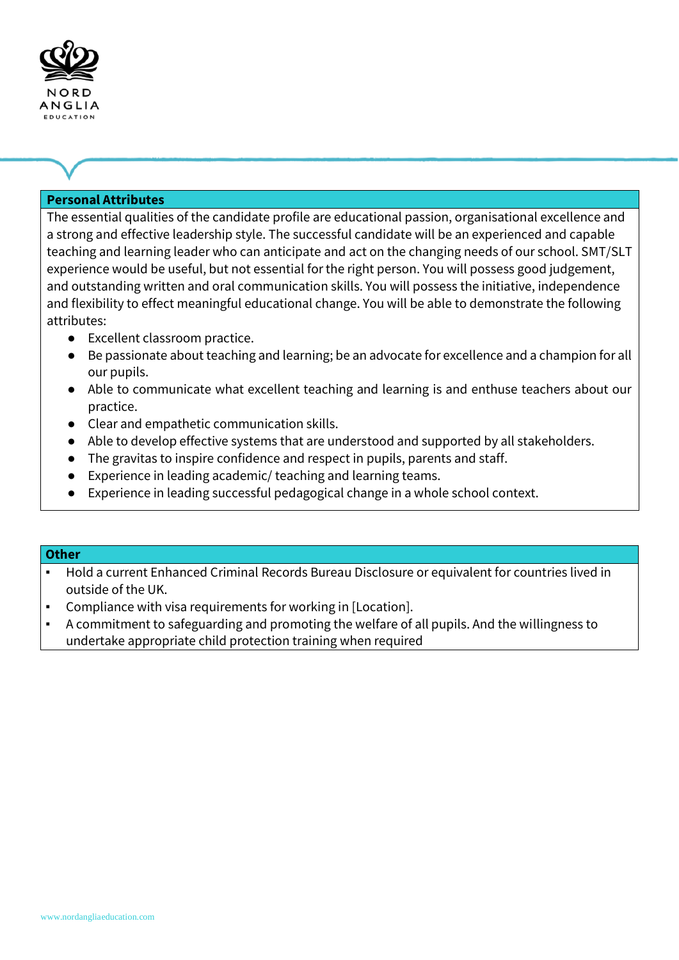

## **Personal Attributes**

The essential qualities of the candidate profile are educational passion, organisational excellence and a strong and effective leadership style. The successful candidate will be an experienced and capable teaching and learning leader who can anticipate and act on the changing needs of our school. SMT/SLT experience would be useful, but not essential for the right person. You will possess good judgement, and outstanding written and oral communication skills. You will possess the initiative, independence and flexibility to effect meaningful educational change. You will be able to demonstrate the following attributes:

- Excellent classroom practice.
- Be passionate about teaching and learning; be an advocate for excellence and a champion for all our pupils.
- Able to communicate what excellent teaching and learning is and enthuse teachers about our practice.
- Clear and empathetic communication skills.
- Able to develop effective systems that are understood and supported by all stakeholders.
- The gravitas to inspire confidence and respect in pupils, parents and staff.
- Experience in leading academic/ teaching and learning teams.
- Experience in leading successful pedagogical change in a whole school context.

#### **Other**

- Hold a current Enhanced Criminal Records Bureau Disclosure or equivalent for countries lived in outside of the UK.
- Compliance with visa requirements for working in [Location].
- A commitment to safeguarding and promoting the welfare of all pupils. And the willingness to undertake appropriate child protection training when required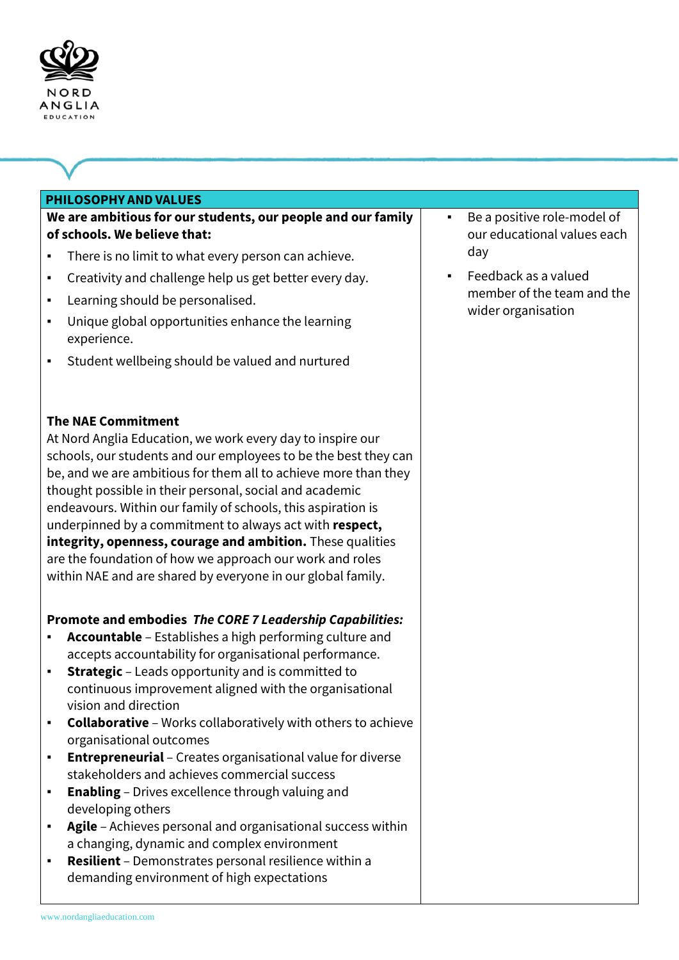

#### **PHILOSOPHY AND VALUES**

# **We are ambitious for our students, our people and our family of schools. We believe that:**

- There is no limit to what every person can achieve.
- Creativity and challenge help us get better every day.
- Learning should be personalised.
- Unique global opportunities enhance the learning experience.
- Student wellbeing should be valued and nurtured

### **The NAE Commitment**

At Nord Anglia Education, we work every day to inspire our schools, our students and our employees to be the best they can be, and we are ambitious for them all to achieve more than they thought possible in their personal, social and academic endeavours. Within our family of schools, this aspiration is underpinned by a commitment to always act with **respect, integrity, openness, courage and ambition.** These qualities are the foundation of how we approach our work and roles within NAE and are shared by everyone in our global family.

# **Promote and embodies** *The CORE 7 Leadership Capabilities:*

- **Accountable**  Establishes a high performing culture and accepts accountability for organisational performance.
- **Strategic**  Leads opportunity and is committed to continuous improvement aligned with the organisational vision and direction
- **Collaborative**  Works collaboratively with others to achieve organisational outcomes
- **Entrepreneurial**  Creates organisational value for diverse stakeholders and achieves commercial success
- **Enabling**  Drives excellence through valuing and developing others
- **Agile**  Achieves personal and organisational success within a changing, dynamic and complex environment
- **Resilient** Demonstrates personal resilience within a demanding environment of high expectations
- Be a positive role-model of our educational values each day
- Feedback as a valued member of the team and the wider organisation